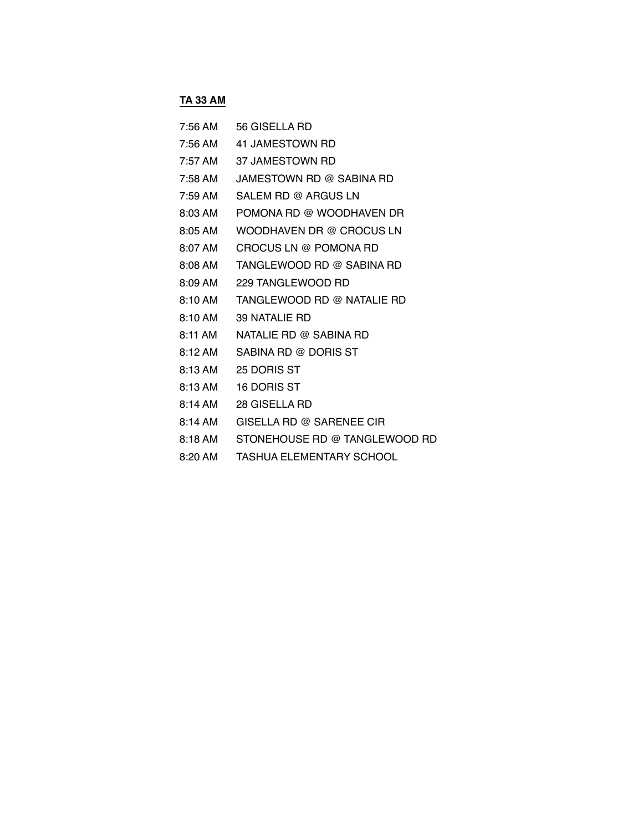# **TA 33 AM**

| 7:56 AM | 56 GISELLA RD                      |
|---------|------------------------------------|
|         | 7:56 AM 41 JAMESTOWN RD            |
|         | 7:57 AM 37 JAMESTOWN RD            |
|         | 7:58 AM JAMESTOWN RD @ SABINA RD   |
| 7:59 AM | SALEM RD @ ARGUS LN                |
| 8:03 AM | POMONA RD @ WOODHAVEN DR           |
|         | 8:05 AM WOODHAVEN DR @ CROCUS LN   |
| 8:07 AM | CROCUS LN @ POMONA RD              |
| 8:08 AM | TANGLEWOOD RD @ SABINA RD          |
|         | 8:09 AM 229 TANGLEWOOD RD          |
|         | 8:10 AM TANGLEWOOD RD @ NATALIE RD |
|         | 8:10 AM 39 NATALIE RD              |
|         | 8:11 AM NATALIE RD @ SABINA RD     |
| 8:12 AM | SABINA RD @ DORIS ST               |
|         | 8:13 AM 25 DORIS ST                |
|         | 8:13 AM 16 DORIS ST                |
|         | 8:14 AM 28 GISELLA RD              |
| 8:14 AM | GISELLA RD @ SARENEE CIR           |
| 8:18 AM | STONEHOUSE RD @ TANGLEWOOD RD      |

- 
- 8:20 AM TASHUA ELEMENTARY SCHOOL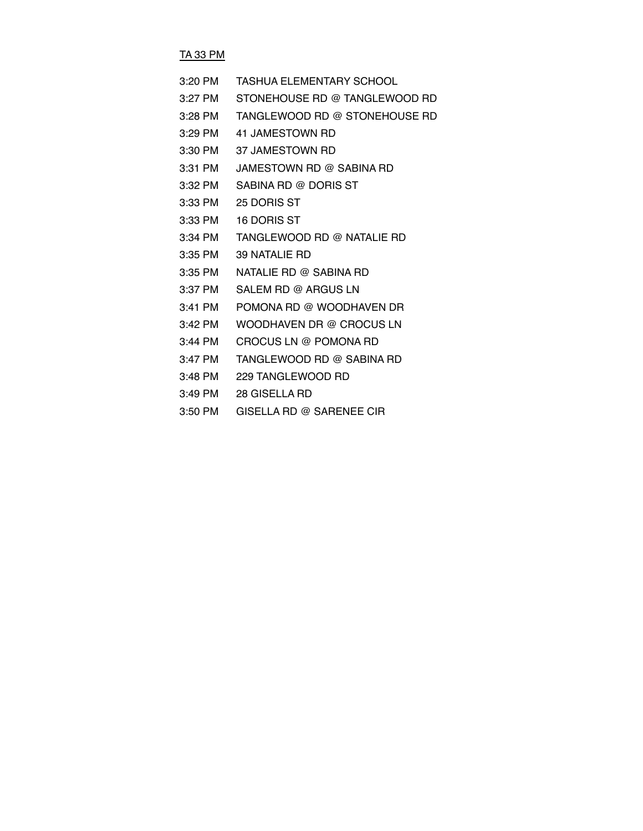## TA 33 PM

| $3:20$ PM | <b>TASHUA ELEMENTARY SCHOOL</b> |
|-----------|---------------------------------|
| $3:27$ PM | STONEHOUSE RD @ TANGLEWOOD RD   |
| $3:28$ PM | TANGLEWOOD RD @ STONEHOUSE RD   |
| $3:29$ PM | 41 JAMESTOWN RD                 |
| $3:30$ PM | 37 JAMESTOWN RD                 |
| 3:31 PM   | JAMESTOWN RD @ SABINA RD        |
| $3:32$ PM | SABINA RD @ DORIS ST            |
| $3:33$ PM | 25 DORIS ST                     |
| $3:33$ PM | 16 DORIS ST                     |
| 3:34 PM   | TANGLEWOOD RD @ NATALIE RD      |
| $3:35$ PM | 39 NATALIE RD                   |
| $3:35$ PM | NATALIE RD @ SABINA RD          |
| $3:37$ PM | SALEM RD @ ARGUS LN             |
| 3:41 PM   | POMONA RD @ WOODHAVEN DR        |
| 3:42 PM   | WOODHAVEN DR @ CROCUS LN        |
| $3:44$ PM | CROCUS LN @ POMONA RD           |
| $3:47$ PM | TANGLEWOOD RD @ SABINA RD       |
| $3:48$ PM | 229 TANGLEWOOD RD               |
| $3:49$ PM | 28 GISELLA RD                   |

3:50 PM GISELLA RD @ SARENEE CIR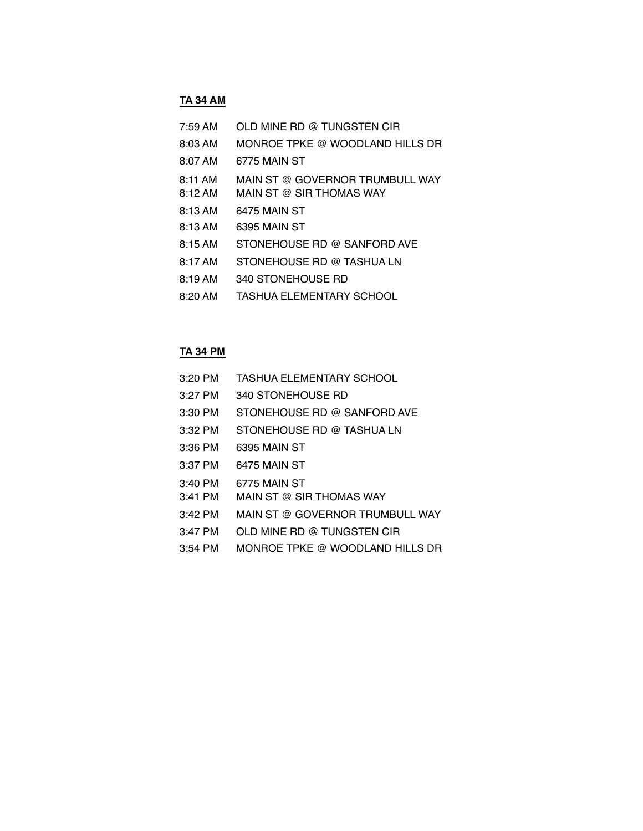#### **TA 34 AM**

| $7:59$ AM         | OLD MINE RD @ TUNGSTEN CIR                                  |
|-------------------|-------------------------------------------------------------|
| $8:03$ AM         | MONROE TPKE @ WOODLAND HILLS DR                             |
| 8:07 AM           | 6775 MAIN ST                                                |
| 8:11 AM<br>8:12AM | MAIN ST @ GOVERNOR TRUMBULL WAY<br>MAIN ST @ SIR THOMAS WAY |
| 8:13AM            | 6475 MAIN ST                                                |
| 8:13 AM           | 6395 MAIN ST                                                |
| 8:15 AM           | STONEHOUSE RD @ SANFORD AVE                                 |
| 8:17 AM           | STONEHOUSE RD @ TASHUA LN                                   |
| 8:19 AM           | 340 STONEHOUSE RD                                           |
| $8:20$ AM         | TASHUA ELEMENTARY SCHOOL                                    |
|                   |                                                             |

#### **TA 34 PM**

- 3:20 PM TASHUA ELEMENTARY SCHOOL
- 3:27 PM 340 STONEHOUSE RD
- 3:30 PM STONEHOUSE RD @ SANFORD AVE
- 3:32 PM STONEHOUSE RD @ TASHUA LN
- 3:36 PM 6395 MAIN ST
- 3:37 PM 6475 MAIN ST
- 3:40 PM 6775 MAIN ST
- 3:41 PM MAIN ST @ SIR THOMAS WAY
- 3:42 PM MAIN ST @ GOVERNOR TRUMBULL WAY
- 3:47 PM OLD MINE RD @ TUNGSTEN CIR
- 3:54 PM MONROE TPKE @ WOODLAND HILLS DR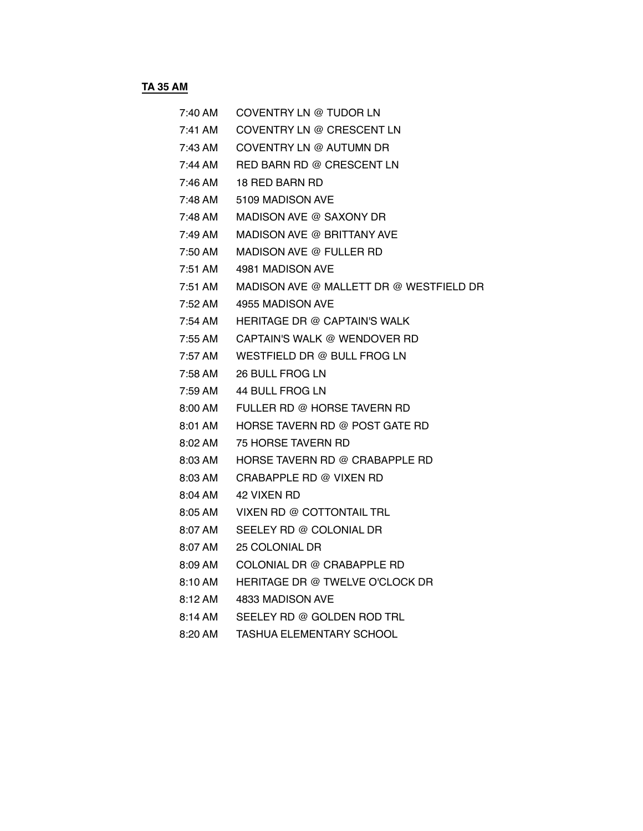**TA 35 AM** 

| 7:40 AM | COVENTRY LN @ TUDOR LN                          |
|---------|-------------------------------------------------|
| 7:41 AM | COVENTRY LN @ CRESCENT LN                       |
| 7:43 AM | COVENTRY LN @ AUTUMN DR                         |
|         | 7:44 AM RED BARN RD @ CRESCENT LN               |
|         | $7:46$ AM $18$ RED BARN RD                      |
| 7:48 AM | 5109 MADISON AVE                                |
|         | 7:48 AM MADISON AVE @ SAXONY DR                 |
|         | 7:49 AM MADISON AVE @ BRITTANY AVE              |
|         | 7:50 AM MADISON AVE @ FULLER RD                 |
| 7:51 AM | 4981 MADISON AVE                                |
|         | 7:51 AM MADISON AVE @ MALLETT DR @ WESTFIELD DR |
|         | 7:52 AM 4955 MADISON AVE                        |
|         | 7:54 AM HERITAGE DR @ CAPTAIN'S WALK            |
|         | 7:55 AM CAPTAIN'S WALK @ WENDOVER RD            |
| 7:57 AM | WESTFIELD DR @ BULL FROG LN                     |
|         | 7:58 AM 26 BULL FROG LN                         |
| 7:59 AM | 44 BULL FROG LN                                 |
|         | 8:00 AM FULLER RD @ HORSE TAVERN RD             |
|         | 8:01 AM HORSE TAVERN RD @ POST GATE RD          |
| 8:02 AM | 75 HORSE TAVERN RD                              |
|         | 8:03 AM HORSE TAVERN RD @ CRABAPPLE RD          |
| 8:03 AM | CRABAPPLE RD @ VIXEN RD                         |
|         | 8:04 AM 42 VIXEN RD                             |
| 8:05 AM | VIXEN RD @ COTTONTAIL TRL                       |
| 8:07 AM | SEELEY RD @ COLONIAL DR                         |
| 8:07 AM | 25 COLONIAL DR                                  |
| 8:09 AM | COLONIAL DR @ CRABAPPLE RD                      |
| 8:10 AM | HERITAGE DR @ TWELVE O'CLOCK DR                 |
| 8:12 AM | 4833 MADISON AVE                                |
| 8:14 AM | SEELEY RD @ GOLDEN ROD TRL                      |
|         |                                                 |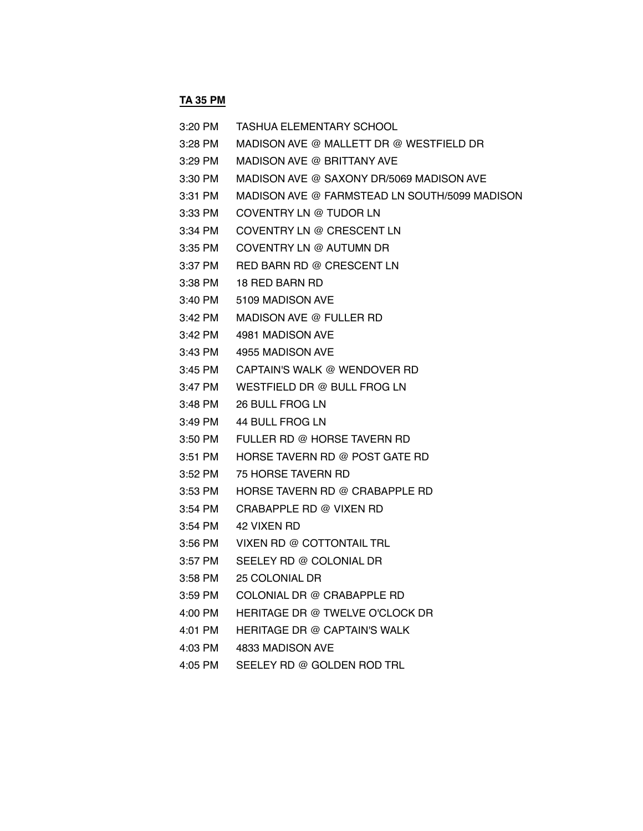# **TA 35 PM**

| 3:20 PM   | TASHUA ELEMENTARY SCHOOL                      |
|-----------|-----------------------------------------------|
| $3:28$ PM | MADISON AVE @ MALLETT DR @ WESTFIELD DR       |
| 3:29 PM   | MADISON AVE @ BRITTANY AVE                    |
| 3:30 PM   | MADISON AVE @ SAXONY DR/5069 MADISON AVE      |
| $3:31$ PM | MADISON AVE @ FARMSTEAD LN SOUTH/5099 MADISON |
| $3:33$ PM | COVENTRY LN @ TUDOR LN                        |
| 3:34 PM   | COVENTRY LN @ CRESCENT LN                     |
| $3:35$ PM | COVENTRY LN @ AUTUMN DR                       |
| 3:37 PM   | RED BARN RD @ CRESCENT LN                     |
| $3:38$ PM | 18 RED BARN RD                                |
| 3:40 PM   | 5109 MADISON AVE                              |
| 3:42 PM   | MADISON AVE @ FULLER RD                       |
| $3:42$ PM | 4981 MADISON AVE                              |
| 3:43 PM   | 4955 MADISON AVE                              |
| $3:45$ PM | CAPTAIN'S WALK @ WENDOVER RD                  |
| 3:47 PM   | WESTFIELD DR @ BULL FROG LN                   |
| 3:48 PM   | 26 BULL FROG LN                               |
| 3:49 PM   | 44 BULL FROG LN                               |
| $3:50$ PM | FULLER RD @ HORSE TAVERN RD                   |
| $3:51$ PM | HORSE TAVERN RD @ POST GATE RD                |
| $3:52$ PM | 75 HORSE TAVERN RD                            |
| $3:53$ PM | HORSE TAVERN RD @ CRABAPPLE RD                |
| $3:54$ PM | CRABAPPLE RD @ VIXEN RD                       |
| $3:54$ PM | 42 VIXEN RD                                   |
| 3:56 PM   | VIXEN RD @ COTTONTAIL TRL                     |
| 3:57 PM   | SEELEY RD @ COLONIAL DR                       |
|           | 3:58 PM 25 COLONIAL DR                        |
| 3:59 PM   | COLONIAL DR @ CRABAPPLE RD                    |
| 4:00 PM   | HERITAGE DR @ TWELVE O'CLOCK DR               |
| 4:01 PM   | <b>HERITAGE DR @ CAPTAIN'S WALK</b>           |
| 4:03 PM   | 4833 MADISON AVE                              |
| 4:05 PM   | SEELEY RD @ GOLDEN ROD TRL                    |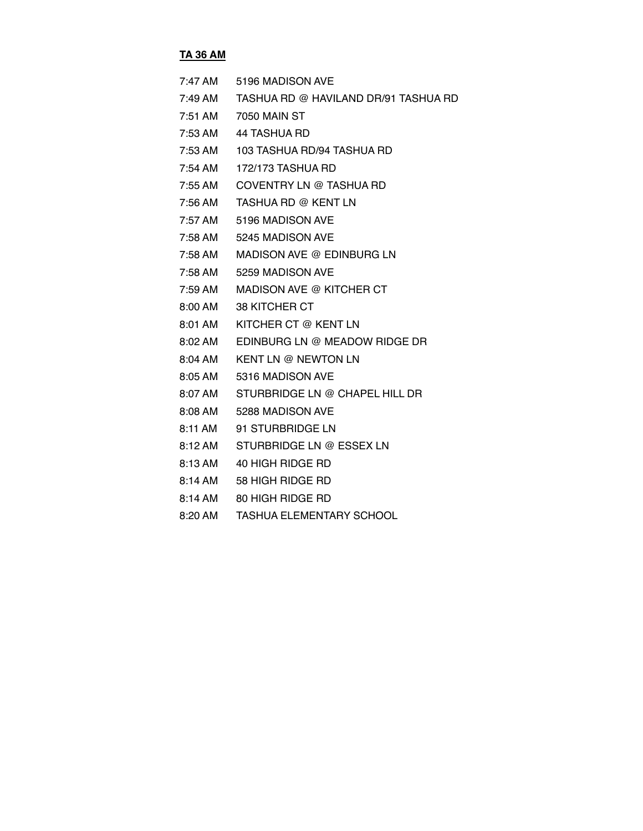### **TA 36 AM**

| $7:47$ AM           | 5196 MADISON AVE                     |
|---------------------|--------------------------------------|
| 7:49 AM             | TASHUA RD @ HAVILAND DR/91 TASHUA RD |
| 7:51 AM             | 7050 MAIN ST                         |
| 7:53 AM             | 44 TASHUA RD                         |
| 7:53 AM             | 103 TASHUA RD/94 TASHUA RD           |
| $7:54$ AM           | 172/173 TASHUA RD                    |
| $7:55$ AM           | COVENTRY LN @ TASHUA RD              |
| 7:56 AM             | TASHUA RD @ KENT LN                  |
| 7:57 AM             | 5196 MADISON AVE                     |
| 7:58 AM             | 5245 MADISON AVE                     |
| 7:58 AM             | MADISON AVE @ EDINBURG LN            |
| 7:58 AM             | 5259 MADISON AVE                     |
| 7:59 AM             | MADISON AVE @ KITCHER CT             |
| $8:00 \, \text{AM}$ | <b>38 KITCHER CT</b>                 |
| 8:01 AM             | KITCHER CT @ KENT LN                 |
| 8:02 AM             | EDINBURG LN @ MEADOW RIDGE DR        |
| $8:04$ AM           | <b>KENT LN @ NEWTON LN</b>           |
| $8:05 \, \text{AM}$ | 5316 MADISON AVE                     |
| 8:07 AM             | STURBRIDGE LN @ CHAPEL HILL DR       |
| 8:08 AM             | 5288 MADISON AVE                     |
| 8:11 AM             | 91 STURBRIDGE LN                     |
| $8:12 \text{ AM}$   | STURBRIDGE LN @ ESSEX LN             |
| 8:13 AM             | 40 HIGH RIDGE RD                     |
| 8:14 AM             | 58 HIGH RIDGE RD                     |

- 8:14 AM 80 HIGH RIDGE RD
- 8:20 AM TASHUA ELEMENTARY SCHOOL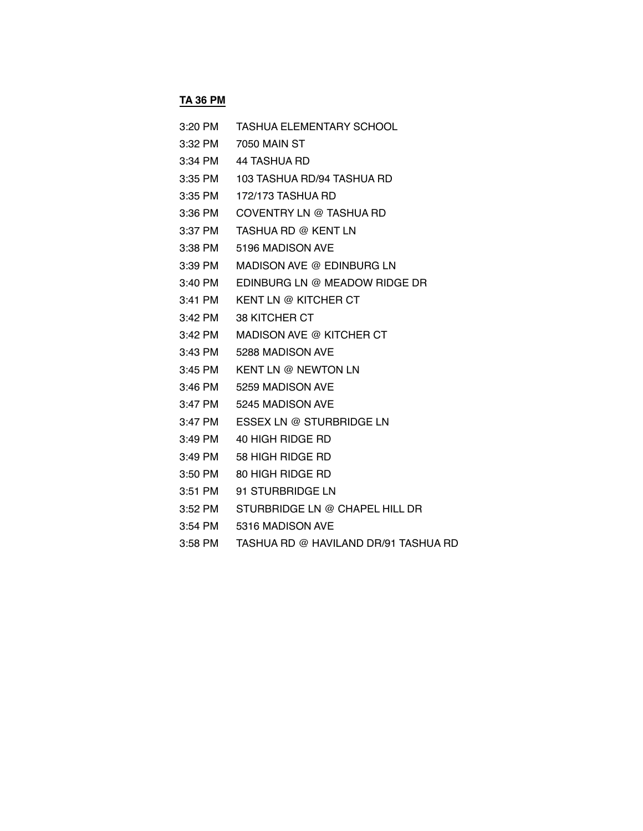# **TA 36 PM**

| $3:20$ PM | <b>TASHUA ELEMENTARY SCHOOL</b> |
|-----------|---------------------------------|
| $3:32$ PM | 7050 MAIN ST                    |
| 3:34 PM   | 44 TASHUA RD                    |
| 3:35 PM   | 103 TASHUA RD/94 TASHUA RD      |
| 3:35 PM   | 172/173 TASHUA RD               |
| 3:36 PM   | COVENTRY LN @ TASHUA RD         |
| 3:37 PM   | TASHUA RD @ KENT LN             |
| 3:38 PM   | 5196 MADISON AVE                |
| $3:39$ PM | MADISON AVE @ EDINBURG LN       |
| $3:40$ PM | EDINBURG LN @ MEADOW RIDGE DR   |
| $3:41$ PM | KENT LN @ KITCHER CT            |
| $3:42$ PM | <b>38 KITCHER CT</b>            |
| $3:42$ PM | MADISON AVE @ KITCHER CT        |
| $3:43$ PM | 5288 MADISON AVE                |
| $3:45$ PM | <b>KENT LN @ NEWTON LN</b>      |
| $3:46$ PM | 5259 MADISON AVE                |
| $3:47$ PM | 5245 MADISON AVE                |
| 3:47 PM   | ESSEX LN @ STURBRIDGE LN        |
| $3:49$ PM | 40 HIGH RIDGE RD                |
| $3:49$ PM | 58 HIGH RIDGE RD                |
| 3:50 PM   | 80 HIGH RIDGE RD                |
| 3:51 PM   | 91 STURBRIDGE LN                |
|           |                                 |

- 3:52 PM STURBRIDGE LN @ CHAPEL HILL DR
- 3:54 PM 5316 MADISON AVE
- 3:58 PM TASHUA RD @ HAVILAND DR/91 TASHUA RD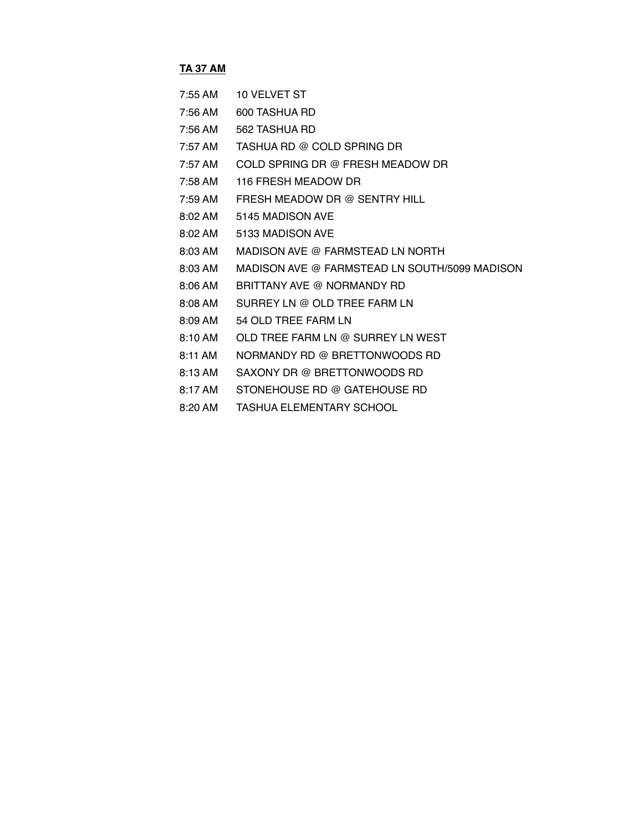#### **TA 37 AM**

- 7:55 AM 10 VELVET ST
- 7:56 AM 600 TASHUA RD
- 7:56 AM 562 TASHUA RD
- 7:57 AM TASHUA RD @ COLD SPRING DR
- 7:57 AM COLD SPRING DR @ FRESH MEADOW DR
- 7:58 AM 116 FRESH MEADOW DR
- 7:59 AM FRESH MEADOW DR @ SENTRY HILL
- 8:02 AM 5145 MADISON AVE
- 8:02 AM 5133 MADISON AVE
- 8:03 AM MADISON AVE @ FARMSTEAD LN NORTH
- 8:03 AM MADISON AVE @ FARMSTEAD LN SOUTH/5099 MADISON
- 8:06 AM BRITTANY AVE @ NORMANDY RD
- 8:08 AM SURREY LN @ OLD TREE FARM LN
- 8:09 AM 54 OLD TREE FARM LN
- 8:10 AM OLD TREE FARM LN @ SURREY LN WEST
- 8:11 AM NORMANDY RD @ BRETTONWOODS RD
- 8:13 AM SAXONY DR @ BRETTONWOODS RD
- 8:17 AM STONEHOUSE RD @ GATEHOUSE RD
- 8:20 AM TASHUA ELEMENTARY SCHOOL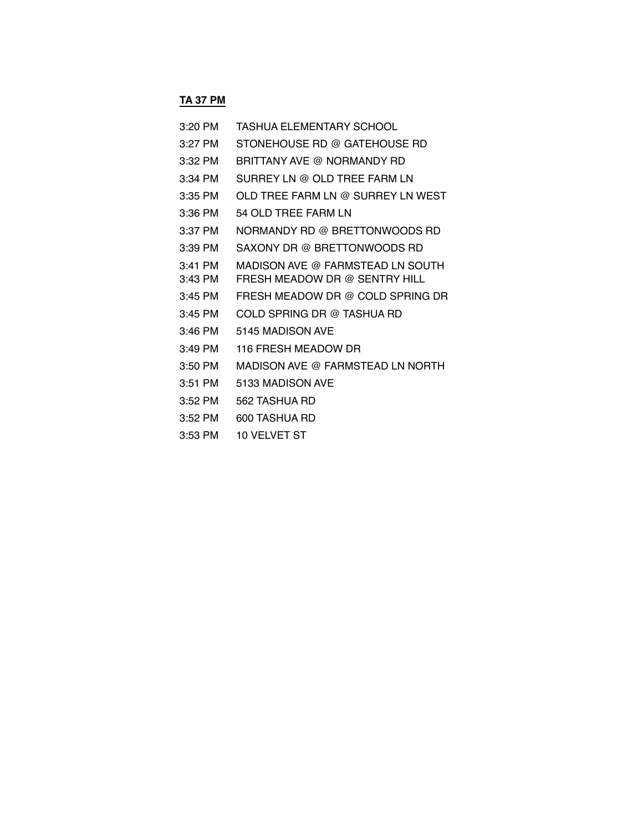# **TA 37 PM**

| 3:20 PM   | TASHUA ELEMENTARY SCHOOL          |
|-----------|-----------------------------------|
| 3:27 PM   | STONEHOUSE RD @ GATEHOUSE RD      |
| 3:32 PM   | BRITTANY AVE @ NORMANDY RD        |
| 3:34 PM   | SURREY LN @ OLD TREE FARM LN      |
| $3:35$ PM | OLD TREE FARM LN @ SURREY LN WEST |
| 3:36 PM   | 54 OLD TREE FARM LN               |
| 3:37 PM   | NORMANDY RD @ BRETTONWOODS RD     |
| $3:39$ PM | SAXONY DR @ BRETTONWOODS RD       |
| $3:41$ PM | MADISON AVE @ FARMSTEAD LN SOUTH  |
| $3:43$ PM | FRESH MEADOW DR @ SENTRY HILL     |
| $3:45$ PM | FRESH MEADOW DR @ COLD SPRING DR  |
| $3:45$ PM | COLD SPRING DR @ TASHUA RD        |
| $3:46$ PM | 5145 MADISON AVE                  |
| $3:49$ PM | 116 FRESH MEADOW DR               |
| 3:50 PM   | MADISON AVE @ FARMSTEAD LN NORTH  |
| 3:51 PM   | 5133 MADISON AVE                  |
| 3:52 PM   | 562 TASHUA RD                     |
| $3:52$ PM | 600 TASHUA RD                     |
|           |                                   |

3:53 PM 10 VELVET ST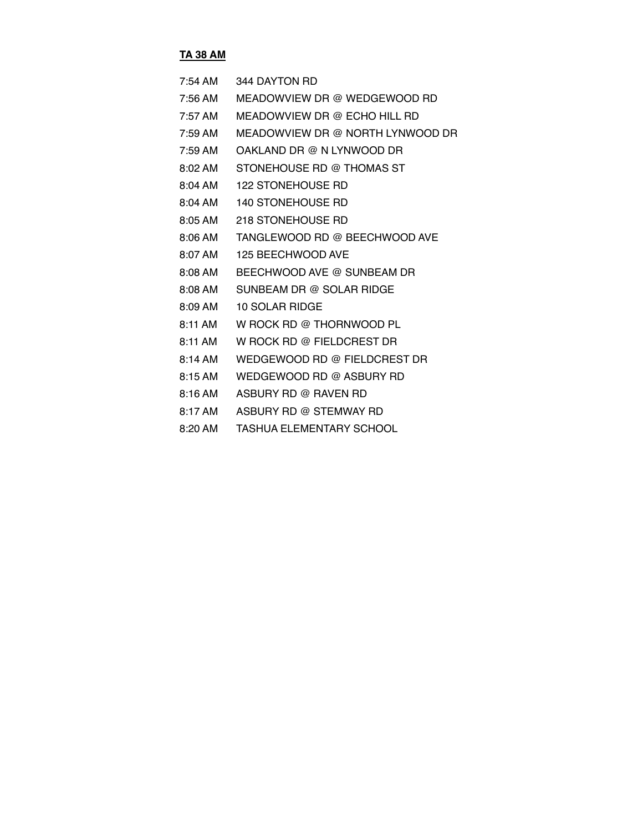## **TA 38 AM**

| 7:54 AM | 344 DAYTON RD                    |
|---------|----------------------------------|
| 7:56 AM | MEADOWVIEW DR @ WEDGEWOOD RD     |
| 7:57 AM | MEADOWVIEW DR @ ECHO HILL RD     |
| 7:59 AM | MEADOWVIEW DR @ NORTH LYNWOOD DR |
| 7:59 AM | OAKLAND DR @ N LYNWOOD DR        |
| 8:02 AM | STONEHOUSE RD @ THOMAS ST        |
| 8:04 AM | <b>122 STONEHOUSE RD</b>         |
| 8:04 AM | 140 STONEHOUSE RD                |
| 8:05 AM | 218 STONEHOUSE RD                |
| 8:06 AM | TANGLEWOOD RD @ BEECHWOOD AVE    |
| 8:07 AM | 125 BEECHWOOD AVE                |
| 8:08 AM | BEECHWOOD AVE @ SUNBEAM DR       |
| 8:08 AM | SUNBEAM DR @ SOLAR RIDGE         |
| 8:09 AM | 10 SOLAR RIDGE                   |
| 8:11 AM | W ROCK RD @ THORNWOOD PL         |
| 8:11 AM | W ROCK RD @ FIELDCREST DR        |
| 8:14 AM | WEDGEWOOD RD @ FIELDCREST DR     |
| 8:15 AM | WEDGEWOOD RD @ ASBURY RD         |
| 8:16 AM | ASBURY RD @ RAVEN RD             |
| 8:17 AM | ASBURY RD @ STEMWAY RD           |

8:20 AM TASHUA ELEMENTARY SCHOOL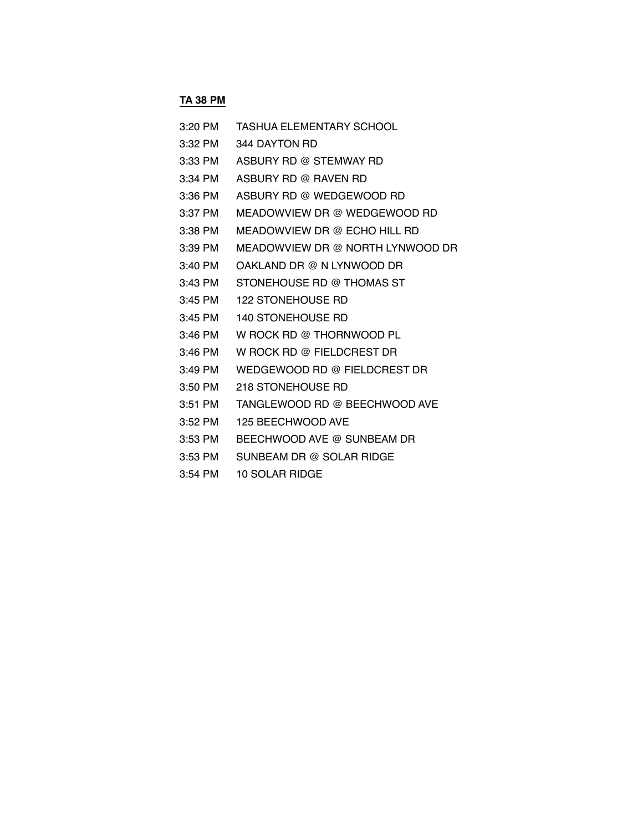## **TA 38 PM**

| 3:20 PM | TASHUA ELEMENTARY SCHOOL         |
|---------|----------------------------------|
| 3:32 PM | 344 DAYTON RD                    |
| 3:33 PM | ASBURY RD @ STEMWAY RD           |
| 3:34 PM | ASBURY RD @ RAVEN RD             |
| 3:36 PM | ASBURY RD @ WEDGEWOOD RD         |
| 3:37 PM | MEADOWVIEW DR @ WEDGEWOOD RD     |
| 3:38 PM | MEADOWVIEW DR @ ECHO HILL RD     |
| 3:39 PM | MEADOWVIEW DR @ NORTH LYNWOOD DR |
| 3:40 PM | OAKLAND DR @ N LYNWOOD DR        |
| 3:43 PM | STONEHOUSE RD @ THOMAS ST        |
| 3:45 PM | <b>122 STONEHOUSE RD</b>         |
| 3:45 PM | <b>140 STONEHOUSE RD</b>         |
| 3:46 PM | W ROCK RD @ THORNWOOD PL         |
| 3:46 PM | W ROCK RD @ FIELDCREST DR        |
| 3:49 PM | WEDGEWOOD RD @ FIELDCREST DR     |
| 3:50 PM | 218 STONEHOUSE RD                |
| 3:51 PM | TANGLEWOOD RD @ BEECHWOOD AVE    |
| 3:52 PM | 125 BEECHWOOD AVE                |
| 3:53 PM | BEECHWOOD AVE @ SUNBEAM DR       |
| 3:53 PM | SUNBEAM DR @ SOLAR RIDGE         |
|         |                                  |

3:54 PM 10 SOLAR RIDGE